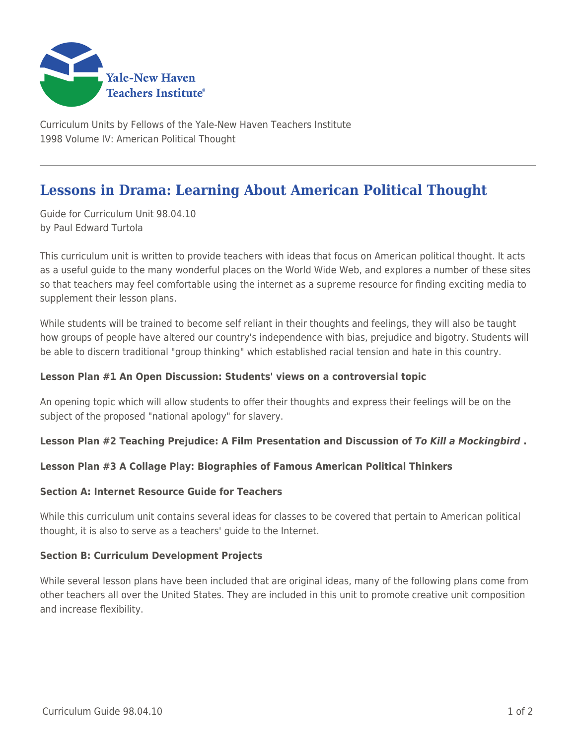

Curriculum Units by Fellows of the Yale-New Haven Teachers Institute 1998 Volume IV: American Political Thought

# **Lessons in Drama: Learning About American Political Thought**

Guide for Curriculum Unit 98.04.10 by Paul Edward Turtola

This curriculum unit is written to provide teachers with ideas that focus on American political thought. It acts as a useful guide to the many wonderful places on the World Wide Web, and explores a number of these sites so that teachers may feel comfortable using the internet as a supreme resource for finding exciting media to supplement their lesson plans.

While students will be trained to become self reliant in their thoughts and feelings, they will also be taught how groups of people have altered our country's independence with bias, prejudice and bigotry. Students will be able to discern traditional "group thinking" which established racial tension and hate in this country.

# **Lesson Plan #1 An Open Discussion: Students' views on a controversial topic**

An opening topic which will allow students to offer their thoughts and express their feelings will be on the subject of the proposed "national apology" for slavery.

# **Lesson Plan #2 Teaching Prejudice: A Film Presentation and Discussion of** *To Kill a Mockingbird* **.**

### **Lesson Plan #3 A Collage Play: Biographies of Famous American Political Thinkers**

### **Section A: Internet Resource Guide for Teachers**

While this curriculum unit contains several ideas for classes to be covered that pertain to American political thought, it is also to serve as a teachers' guide to the Internet.

### **Section B: Curriculum Development Projects**

While several lesson plans have been included that are original ideas, many of the following plans come from other teachers all over the United States. They are included in this unit to promote creative unit composition and increase flexibility.